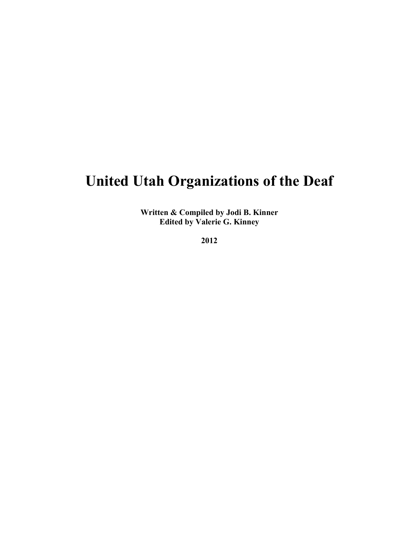## **United Utah Organizations of the Deaf**

**Written & Compiled by Jodi B. Kinner Edited by Valerie G. Kinney**

**2012**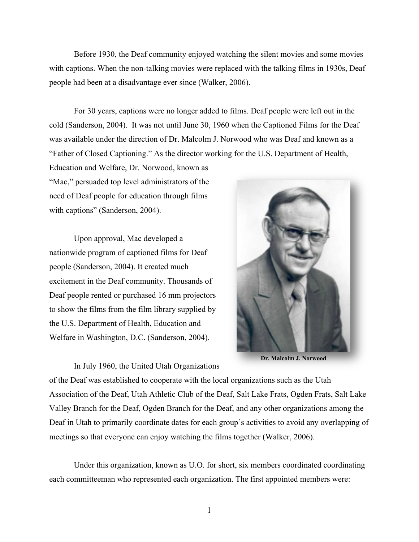Before 1930, the Deaf community enjoyed watching the silent movies and some movies with captions. When the non-talking movies were replaced with the talking films in 1930s, Deaf people had been at a disadvantage ever since (Walker, 2006).

For 30 years, captions were no longer added to films. Deaf people were left out in the cold (Sanderson, 2004). It was not until June 30, 1960 when the Captioned Films for the Deaf was available under the direction of Dr. Malcolm J. Norwood who was Deaf and known as a "Father of Closed Captioning." As the director working for the U.S. Department of Health,

Education and Welfare, Dr. Norwood, known as "Mac," persuaded top level administrators of the need of Deaf people for education through films with captions" (Sanderson, 2004).

Upon approval, Mac developed a nationwide program of captioned films for Deaf people (Sanderson, 2004). It created much excitement in the Deaf community. Thousands of Deaf people rented or purchased 16 mm projectors to show the films from the film library supplied by the U.S. Department of Health, Education and Welfare in Washington, D.C. (Sanderson, 2004).

In July 1960, the United Utah Organizations



**Dr. Malcolm J. Norwood**

of the Deaf was established to cooperate with the local organizations such as the Utah Association of the Deaf, Utah Athletic Club of the Deaf, Salt Lake Frats, Ogden Frats, Salt Lake Valley Branch for the Deaf, Ogden Branch for the Deaf, and any other organizations among the Deaf in Utah to primarily coordinate dates for each group's activities to avoid any overlapping of meetings so that everyone can enjoy watching the films together (Walker, 2006).

Under this organization, known as U.O. for short, six members coordinated coordinating each committeeman who represented each organization. The first appointed members were: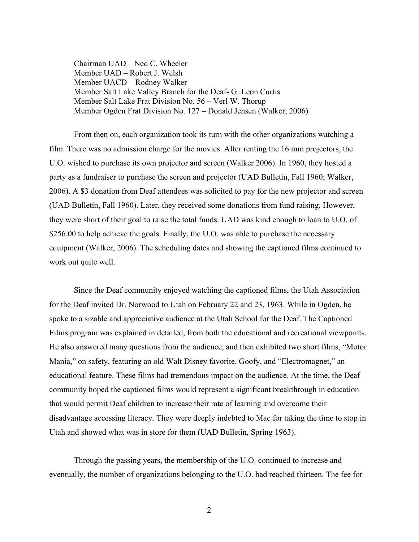Chairman UAD – Ned C. Wheeler Member UAD – Robert J. Welsh Member UACD – Rodney Walker Member Salt Lake Valley Branch for the Deaf- G. Leon Curtis Member Salt Lake Frat Division No. 56 – Verl W. Thorup Member Ogden Frat Division No. 127 – Donald Jensen (Walker, 2006)

From then on, each organization took its turn with the other organizations watching a film. There was no admission charge for the movies. After renting the 16 mm projectors, the U.O. wished to purchase its own projector and screen (Walker 2006). In 1960, they hosted a party as a fundraiser to purchase the screen and projector (UAD Bulletin, Fall 1960; Walker, 2006). A \$3 donation from Deaf attendees was solicited to pay for the new projector and screen (UAD Bulletin, Fall 1960). Later, they received some donations from fund raising. However, they were short of their goal to raise the total funds. UAD was kind enough to loan to U.O. of \$256.00 to help achieve the goals. Finally, the U.O. was able to purchase the necessary equipment (Walker, 2006). The scheduling dates and showing the captioned films continued to work out quite well.

Since the Deaf community enjoyed watching the captioned films, the Utah Association for the Deaf invited Dr. Norwood to Utah on February 22 and 23, 1963. While in Ogden, he spoke to a sizable and appreciative audience at the Utah School for the Deaf. The Captioned Films program was explained in detailed, from both the educational and recreational viewpoints. He also answered many questions from the audience, and then exhibited two short films, "Motor Mania," on safety, featuring an old Walt Disney favorite, Goofy, and "Electromagnet," an educational feature. These films had tremendous impact on the audience. At the time, the Deaf community hoped the captioned films would represent a significant breakthrough in education that would permit Deaf children to increase their rate of learning and overcome their disadvantage accessing literacy. They were deeply indebted to Mac for taking the time to stop in Utah and showed what was in store for them (UAD Bulletin, Spring 1963).

Through the passing years, the membership of the U.O. continued to increase and eventually, the number of organizations belonging to the U.O. had reached thirteen. The fee for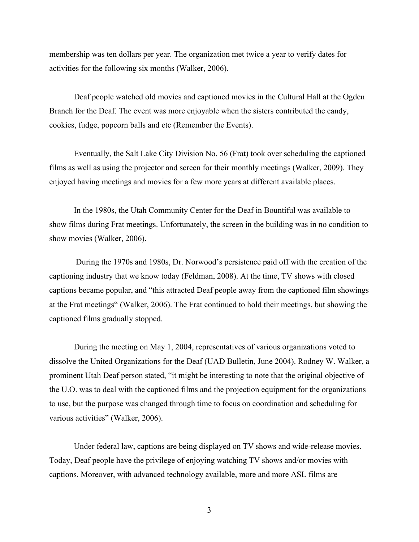membership was ten dollars per year. The organization met twice a year to verify dates for activities for the following six months (Walker, 2006).

Deaf people watched old movies and captioned movies in the Cultural Hall at the Ogden Branch for the Deaf. The event was more enjoyable when the sisters contributed the candy, cookies, fudge, popcorn balls and etc (Remember the Events).

Eventually, the Salt Lake City Division No. 56 (Frat) took over scheduling the captioned films as well as using the projector and screen for their monthly meetings (Walker, 2009). They enjoyed having meetings and movies for a few more years at different available places.

In the 1980s, the Utah Community Center for the Deaf in Bountiful was available to show films during Frat meetings. Unfortunately, the screen in the building was in no condition to show movies (Walker, 2006).

During the 1970s and 1980s, Dr. Norwood's persistence paid off with the creation of the captioning industry that we know today (Feldman, 2008). At the time, TV shows with closed captions became popular, and "this attracted Deaf people away from the captioned film showings at the Frat meetings" (Walker, 2006). The Frat continued to hold their meetings, but showing the captioned films gradually stopped.

During the meeting on May 1, 2004, representatives of various organizations voted to dissolve the United Organizations for the Deaf (UAD Bulletin, June 2004). Rodney W. Walker, a prominent Utah Deaf person stated, "it might be interesting to note that the original objective of the U.O. was to deal with the captioned films and the projection equipment for the organizations to use, but the purpose was changed through time to focus on coordination and scheduling for various activities" (Walker, 2006).

Under federal law, captions are being displayed on TV shows and wide-release movies. Today, Deaf people have the privilege of enjoying watching TV shows and/or movies with captions. Moreover, with advanced technology available, more and more ASL films are

3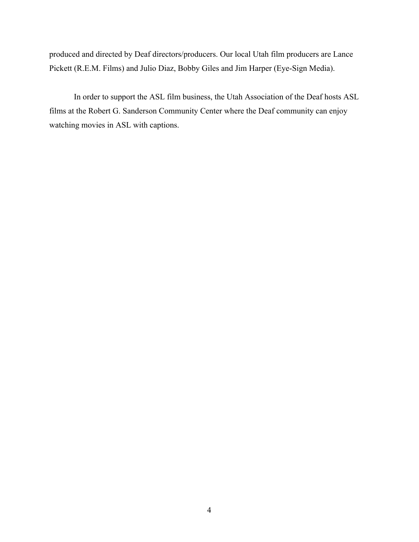produced and directed by Deaf directors/producers. Our local Utah film producers are Lance Pickett (R.E.M. Films) and Julio Diaz, Bobby Giles and Jim Harper (Eye-Sign Media).

In order to support the ASL film business, the Utah Association of the Deaf hosts ASL films at the Robert G. Sanderson Community Center where the Deaf community can enjoy watching movies in ASL with captions.